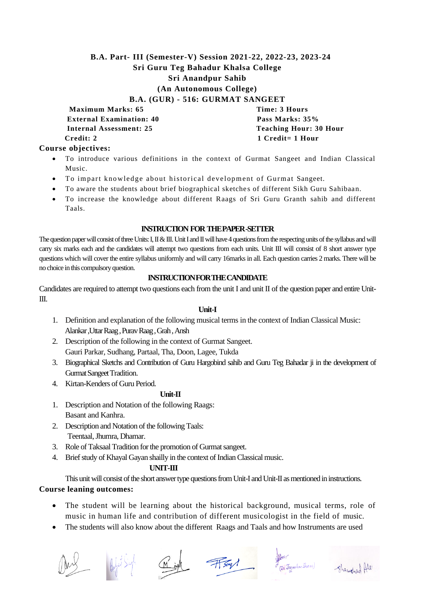# **B.A. Part- III (Semester-V) Session 2021-22, 2022-23, 2023-24 Sri Guru Teg Bahadur Khalsa College Sri Anandpur Sahib (An Autonomous College)**

**B.A. (GUR) - 516: GURMAT SANGEET**

**Maximum Marks: 65** Time: 3 Hours **External Examination: 40** Pass Marks: 35%  **Internal Assessment: 25 Teaching Hour: 30 Hour Credit: 2** 1 Credit= 1 Hour

# **Course objectives:**

- To introduce various definitions in the context of Gurmat Sangeet and Indian Classical Music.
- To impart knowledge about historical development of Gurmat Sangeet.
- To aware the students about brief biographical sketches of different Sikh Guru Sahibaan.
- To increase the knowledge about different Raags of Sri Guru Granth sahib and different Taals.

# **INSTRUCTION FOR THE PAPER -SETTER**

The question paper will consist of three Units: I, II & III. Unit I and II will have 4 questions from the respecting units of the syllabus and will carry six marks each and the candidates will attempt two questions from each units. Unit III will consist of 8 short answer type questions which will cover the entire syllabus uniformly and will carry 16marks in all. Each question carries 2 marks. There will be no choice in this compulsory question.

#### **INSTRUCTION FOR THE CANDIDATE**

Candidates are required to attempt two questions each from the unit I and unit II of the question paper and entire Unit-III.

#### **Unit-I**

- 1. Definition and explanation of the following musical terms in the context of Indian Classical Music: Alankar ,Uttar Raag , Purav Raag , Grah ,Ansh
- 2. Description of the following in the context of Gurmat Sangeet. Gauri Parkar, Sudhang, Partaal, Tha, Doon, Lagee, Tukda
- 3. Biographical Sketchs and Contribution of Guru Hargobind sahib and Guru Teg Bahadar ji in the development of Gurmat Sangeet Tradition.
- 4. Kirtan-Kenders of Guru Period.

# **Unit-II**

- 1. Description and Notation of the following Raags: Basant and Kanhra.
- 2. Description and Notation of the following Taals: Teentaal, Jhumra, Dhamar.
- 3. Role of Taksaal Tradition for the promotion of Gurmat sangeet.
- 4. Brief study of Khayal Gayan shailly in the context of Indian Classical music.

#### **UNIT-III**

This unit will consist of the short answer type questions from Unit-I and Unit-II as mentioned in instructions. **Course leaning outcomes:**

- The student will be learning about the historical background, musical terms, role of music in human life and contribution of different musicologist in the field of music.
- The students will also know about the different Raags and Taals and how Instruments are used





Might Fory of Jagmehan Sharman Shanghal All

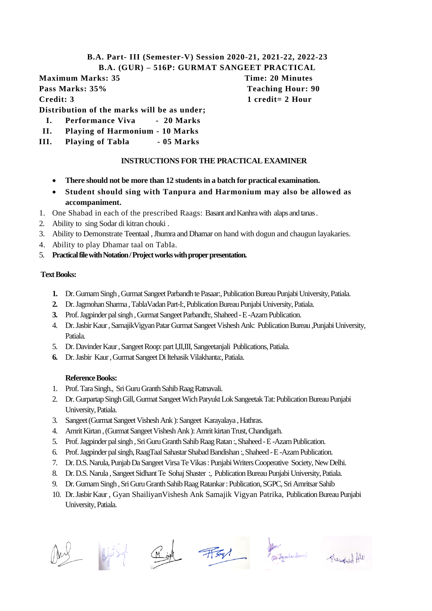# **B.A. Part- III (Semester-V) Session 2020-21, 2021-22, 2022-23 B.A. (GUR) – 516P: GURMAT SANGEET PRACTICAL**

**Maximum Marks: 35 Time: 20 Minutes Pass Marks: 35% Teaching Hour: 90 Credit: 3** 1 credit= 2 Hour

**Distribution of the marks will be as under;**

- **I. Performance Viva 20 Marks**
- **II. Playing of Harmonium - 10 Marks**
- **III. Playing of Tabla - 05 Marks**

# **INSTRUCTIONS FOR THE PRACTICAL EXAMINER**

- **There should not be more than 12 students in a batch for practical examination.**
- **Student should sing with Tanpura and Harmonium may also be allowed as accompaniment.**
- 1. One Shabad in each of the prescribed Raags: Basant and Kanhrawith alaps and tanas .
- 2. Ability to sing Sodar di kitran chouki .
- 3. Ability to Demonstrate Teentaal , Jhumra and Dhamar on hand with dogun and chaugun layakaries.
- 4. Ability to play Dhamar taal on TabIa.
- 5. **Practical file with Notation/ Project works with proper presentation.**

# **Text Books:**

- **1.** Dr. Gurnam Singh , Gurmat Sangeet Parbandh te Pasaar:, Publication Bureau Punjabi University, Patiala.
- **2.** Dr. Jagmohan Sharma , TablaVadan Part-I:, Publication Bureau Punjabi University, Patiala.
- **3.** Prof. Jagpinder pal singh , Gurmat Sangeet Parbandh:, Shaheed -E -Azam Publication.
- 4. Dr. Jasbir Kaur , SamajikVigyan Patar Gurmat Sangeet Vishesh Ank: Publication Bureau ,Punjabi University, Patiala.
- 5. Dr. Davinder Kaur , Sangeet Roop: part I,II,III, Sangeetanjali Publications, Patiala.
- **6.** Dr. Jasbir Kaur , Gurmat Sangeet Di Itehasik Vilakhanta:, Patiala.

# **Reference Books:**

- 1. Prof. Tara Singh., Sri GuruGranth Sahib Raag Ratnavali.
- 2. Dr. Gurpartap Singh Gill, Gurmat SangeetWich Paryukt Lok Sangeetak Tat: Publication Bureau Punjabi University, Patiala.
- 3. Sangeet (Gurmat Sangeet Vishesh Ank ): Sangeet Karayalaya , Hathras.
- 4. Amrit Kirtan , (Gurmat Sangeet Vishesh Ank ): Amrit kirtan Trust, Chandigarh.
- 5. Prof. Jagpinder pal singh , Sri Guru Granth Sahib Raag Ratan :, Shaheed -E -Azam Publication.
- 6. Prof. Jagpinder pal singh, RaagTaal Sahastar Shabad Bandishan :, Shaheed -E -Azam Publication.
- 7. Dr. D.S. Narula,Punjab Da Sangeet Virsa Te Vikas : Punjabi Writers Cooperative Society, New Delhi.
- 8. Dr. D.S. Narula , Sangeet Sidhant Te Sohaj Shaster :, Publication Bureau Punjabi University, Patiala.
- 9. Dr. Gurnam Singh , Sri Guru Granth Sahib Raag Ratankar :Publication, SGPC, Sri Amritsar Sahib
- 10. Dr. Jasbir Kaur , Gyan ShailiyanVishesh Ank Samajik Vigyan Patrika, Publication Bureau Punjabi University, Patiala.





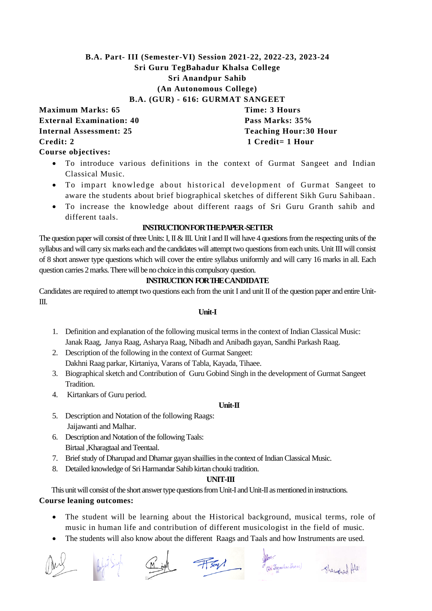# **B.A. Part- III (Semester-VI) Session 2021-22, 2022-23, 2023-24 Sri Guru TegBahadur Khalsa College Sri Anandpur Sahib (An Autonomous College) B.A. (GUR) - 616: GURMAT SANGEET**

**Maximum Marks: 65 Time: 3 Hours External Examination: 40 Pass Marks: 35% Internal Assessment: 25 Teaching Hour: 30 Hour Credit: 2** 1 Credit= 1 Hour **Course objectives:**

- To introduce various definitions in the context of Gurmat Sangeet and Indian Classical Music.
- To impart knowledge about historical development of Gurmat Sangeet to aware the students about brief biographical sketches of different Sikh Guru Sahibaan .
- To increase the knowledge about different raags of Sri Guru Granth sahib and different taals.

# **INSTRUCTION FOR THE PAPER -SETTER**

The question paper will consist of three Units: I, II  $\&$  III. Unit I and II will have 4 questions from the respecting units of the syllabus and will carry six marks each and the candidates will attempt two questions from each units. Unit III will consist of 8 short answer type questions which will cover the entire syllabus uniformly and will carry 16 marks in all. Each question carries 2 marks. There will be no choice in this compulsory question.

# **INSTRUCTION FOR THECANDIDATE**

Candidates are required to attempt two questions each from the unit I and unit II of the question paper and entire Unit-III.

#### **Unit-I**

- 1. Definition and explanation of the following musical terms in the context of Indian Classical Music: Janak Raag, Janya Raag, Asharya Raag, Nibadh and Anibadh gayan, Sandhi Parkash Raag.
- 2. Description of the following in the context of Gurmat Sangeet: Dakhni Raag parkar, Kirtaniya, Varans of Tabla, Kayada, Tihaee.
- 3. Biographical sketch and Contribution of Guru Gobind Singh in the development of Gurmat Sangeet Tradition.
- 4. Kirtankars of Guru period.

#### **Unit-II**

- 5. Description and Notation of the following Raags: Jaijawanti and Malhar.
- 6. Description and Notation of the following Taals: Birtaal ,Kharagtaal and Teentaal.
- 7. Brief study of Dharupad and Dhamar gayan shailliesin the context of Indian Classical Music.
- 8. Detailed knowledge of Sri Harmandar Sahib kirtan chouki tradition.

#### **UNIT-III**

 This unit will consist of the short answer type questions from Unit-I and Unit-II as mentioned in instructions. **Course leaning outcomes:**

- The student will be learning about the Historical background, musical terms, role of music in human life and contribution of different musicologist in the field of music.
- The students will also know about the different Raags and Taals and how Instruments are used.





(Dr. Jagmehan Sharma)